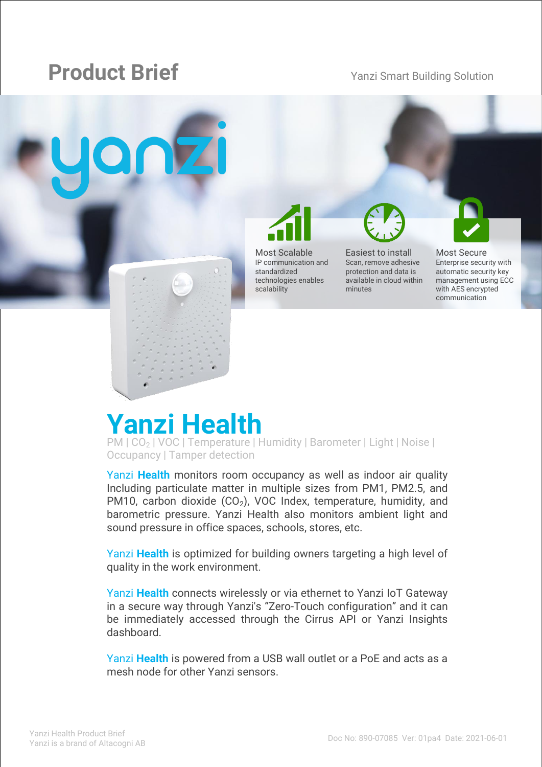# **Product Brief** Yanzi Smart Building Solution



Most Scalable IP communication and standardized technologies enables scalability

Easiest to install Scan, remove adhesive protection and data is available in cloud within minutes

Most Secure Enterprise security with automatic security key management using ECC with AES encrypted communication

# **Yanzi Health**

PM | CO<sub>2</sub> | VOC | Temperature | Humidity | Barometer | Light | Noise | Occupancy | Tamper detection

Yanzi **Health** monitors room occupancy as well as indoor air quality Including particulate matter in multiple sizes from PM1, PM2.5, and PM10, carbon dioxide (CO <sup>2</sup>), VOC Index, temperature, humidity, and barometric pressure. Yanzi Health also monitors ambient light and sound pressure in office spaces, schools, stores, etc.

Yanzi **Health** is optimized for building owners targeting a high level of quality in the work environment.

Yanzi **Health** connects wirelessly or via ethernet to Yanzi IoT Gateway in a secure way through Yanzi's "Zero -Touch configuration" and it can be immediately accessed through the Cirrus API or Yanzi Insights dashboard.

Yanzi **Health** is powered from a USB wall outlet or a PoE and acts as a mesh node for other Yanzi sensors.

Yanzi Networks reserve the right to change this specification at any time without notice. Disclaimer: Yanzi Networks can not guarantee that this specification is 100% correct.